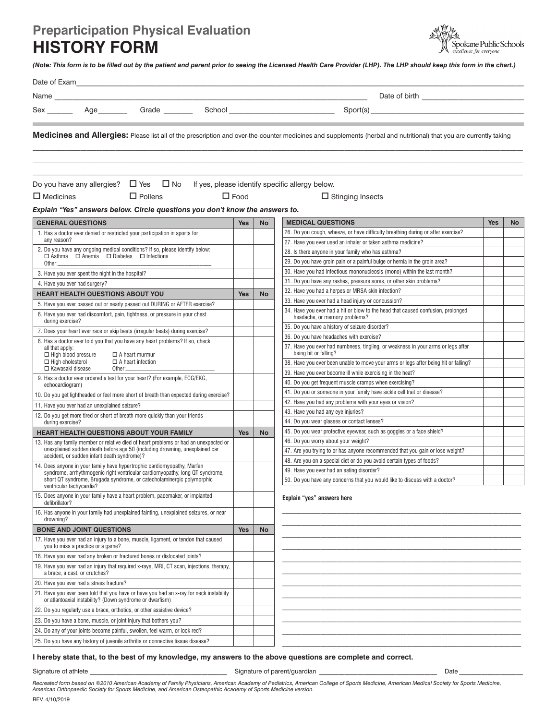## **Preparticipation Physical Evaluation HISTORY FORM**

Spokane Public Schools llence for everyone

*(Note: This form is to be filled out by the patient and parent prior to seeing the Licensed Health Care Provider (LHP). The LHP should keep this form in the chart.)*

| Date of Exam                                                                                                                                                                                                                                   |                                                   |                                                                                                                                                     |             |           |                                                                                                                                                                    |            |    |
|------------------------------------------------------------------------------------------------------------------------------------------------------------------------------------------------------------------------------------------------|---------------------------------------------------|-----------------------------------------------------------------------------------------------------------------------------------------------------|-------------|-----------|--------------------------------------------------------------------------------------------------------------------------------------------------------------------|------------|----|
|                                                                                                                                                                                                                                                |                                                   |                                                                                                                                                     |             |           |                                                                                                                                                                    |            |    |
|                                                                                                                                                                                                                                                | Sex Age Grade School<br>Spot(s)                   |                                                                                                                                                     |             |           |                                                                                                                                                                    |            |    |
|                                                                                                                                                                                                                                                |                                                   |                                                                                                                                                     |             |           |                                                                                                                                                                    |            |    |
|                                                                                                                                                                                                                                                |                                                   |                                                                                                                                                     |             |           | Medicines and Allergies: Please list all of the prescription and over-the-counter medicines and supplements (herbal and nutritional) that you are currently taking |            |    |
|                                                                                                                                                                                                                                                |                                                   |                                                                                                                                                     |             |           |                                                                                                                                                                    |            |    |
|                                                                                                                                                                                                                                                |                                                   |                                                                                                                                                     |             |           |                                                                                                                                                                    |            |    |
|                                                                                                                                                                                                                                                |                                                   |                                                                                                                                                     |             |           |                                                                                                                                                                    |            |    |
|                                                                                                                                                                                                                                                |                                                   | Do you have any allergies? $\Box$ Yes $\Box$ No                                                                                                     |             |           | If yes, please identify specific allergy below.                                                                                                                    |            |    |
| $\square$ Medicines                                                                                                                                                                                                                            |                                                   | $\Box$ Pollens                                                                                                                                      | $\Box$ Food |           | $\Box$ Stinging Insects                                                                                                                                            |            |    |
|                                                                                                                                                                                                                                                |                                                   | Explain "Yes" answers below. Circle questions you don't know the answers to.                                                                        |             |           |                                                                                                                                                                    |            |    |
|                                                                                                                                                                                                                                                | <b>GENERAL QUESTIONS</b>                          |                                                                                                                                                     | <b>Yes</b>  | <b>No</b> | <b>MEDICAL QUESTIONS</b>                                                                                                                                           | <b>Yes</b> | No |
|                                                                                                                                                                                                                                                |                                                   | 1. Has a doctor ever denied or restricted your participation in sports for                                                                          |             |           | 26. Do you cough, wheeze, or have difficulty breathing during or after exercise?                                                                                   |            |    |
| any reason?                                                                                                                                                                                                                                    |                                                   |                                                                                                                                                     |             |           | 27. Have you ever used an inhaler or taken asthma medicine?                                                                                                        |            |    |
|                                                                                                                                                                                                                                                |                                                   | 2. Do you have any ongoing medical conditions? If so, please identify below:<br>$\Box$ Asthma $\Box$ Anemia $\Box$ Diabetes $\Box$ Infections       |             |           | 28. Is there anyone in your family who has asthma?                                                                                                                 |            |    |
| Other:                                                                                                                                                                                                                                         |                                                   |                                                                                                                                                     |             |           | 29. Do you have groin pain or a painful bulge or hernia in the groin area?                                                                                         |            |    |
|                                                                                                                                                                                                                                                | 3. Have you ever spent the night in the hospital? |                                                                                                                                                     |             |           | 30. Have you had infectious mononucleosis (mono) within the last month?                                                                                            |            |    |
|                                                                                                                                                                                                                                                | 4. Have you ever had surgery?                     |                                                                                                                                                     |             |           | 31. Do you have any rashes, pressure sores, or other skin problems?                                                                                                |            |    |
|                                                                                                                                                                                                                                                |                                                   | <b>HEART HEALTH QUESTIONS ABOUT YOU</b>                                                                                                             | <b>Yes</b>  | <b>No</b> | 32. Have you had a herpes or MRSA skin infection?<br>33. Have you ever had a head injury or concussion?                                                            |            |    |
|                                                                                                                                                                                                                                                |                                                   | 5. Have you ever passed out or nearly passed out DURING or AFTER exercise?                                                                          |             |           | 34. Have you ever had a hit or blow to the head that caused confusion, prolonged                                                                                   |            |    |
| during exercise?                                                                                                                                                                                                                               |                                                   | 6. Have you ever had discomfort, pain, tightness, or pressure in your chest                                                                         |             |           | headache, or memory problems?                                                                                                                                      |            |    |
|                                                                                                                                                                                                                                                |                                                   | 7. Does your heart ever race or skip beats (irregular beats) during exercise?                                                                       |             |           | 35. Do you have a history of seizure disorder?                                                                                                                     |            |    |
| 8. Has a doctor ever told you that you have any heart problems? If so, check<br>all that apply:<br>$\Box$ High blood pressure<br>$\Box$ A heart murmur<br>$\Box$ A heart infection<br>$\Box$ High cholesterol<br>□ Kawasaki disease<br>Other:_ |                                                   |                                                                                                                                                     |             |           | 36. Do you have headaches with exercise?<br>37. Have you ever had numbness, tingling, or weakness in your arms or legs after                                       |            |    |
|                                                                                                                                                                                                                                                |                                                   |                                                                                                                                                     |             |           | being hit or falling?                                                                                                                                              |            |    |
|                                                                                                                                                                                                                                                |                                                   |                                                                                                                                                     |             |           | 38. Have you ever been unable to move your arms or legs after being hit or falling?                                                                                |            |    |
|                                                                                                                                                                                                                                                |                                                   | 9. Has a doctor ever ordered a test for your heart? (For example, ECG/EKG,                                                                          |             |           | 39. Have you ever become ill while exercising in the heat?                                                                                                         |            |    |
| echocardiogram)                                                                                                                                                                                                                                |                                                   |                                                                                                                                                     |             |           | 40. Do you get frequent muscle cramps when exercising?                                                                                                             |            |    |
|                                                                                                                                                                                                                                                |                                                   | 10. Do you get lightheaded or feel more short of breath than expected during exercise?                                                              |             |           | 41. Do you or someone in your family have sickle cell trait or disease?                                                                                            |            |    |
| 11. Have you ever had an unexplained seizure?                                                                                                                                                                                                  |                                                   |                                                                                                                                                     |             |           | 42. Have you had any problems with your eyes or vision?                                                                                                            |            |    |
| 12. Do you get more tired or short of breath more quickly than your friends                                                                                                                                                                    |                                                   |                                                                                                                                                     |             |           | 43. Have you had any eye injuries?                                                                                                                                 |            |    |
| during exercise?<br>HEART HEALTH QUESTIONS ABOUT YOUR FAMILY                                                                                                                                                                                   |                                                   |                                                                                                                                                     |             |           | 44. Do you wear glasses or contact lenses?<br>45. Do you wear protective eyewear, such as goggles or a face shield?                                                |            |    |
|                                                                                                                                                                                                                                                |                                                   | 13. Has any family member or relative died of heart problems or had an unexpected or                                                                | <b>Yes</b>  | <b>No</b> | 46. Do you worry about your weight?                                                                                                                                |            |    |
|                                                                                                                                                                                                                                                |                                                   | unexplained sudden death before age 50 (including drowning, unexplained car                                                                         |             |           | 47. Are you trying to or has anyone recommended that you gain or lose weight?                                                                                      |            |    |
|                                                                                                                                                                                                                                                | accident, or sudden infant death syndrome)?       |                                                                                                                                                     |             |           | 48. Are you on a special diet or do you avoid certain types of foods?                                                                                              |            |    |
| 14. Does anyone in your family have hypertrophic cardiomyopathy, Marfan<br>syndrome, arrhythmogenic right ventricular cardiomyopathy, long QT syndrome,                                                                                        |                                                   |                                                                                                                                                     |             |           | 49. Have you ever had an eating disorder?                                                                                                                          |            |    |
|                                                                                                                                                                                                                                                | ventricular tachycardia?                          | short QT syndrome, Brugada syndrome, or catecholaminergic polymorphic                                                                               |             |           | 50. Do you have any concerns that you would like to discuss with a doctor?                                                                                         |            |    |
| defibrillator?                                                                                                                                                                                                                                 |                                                   | 15. Does anyone in your family have a heart problem, pacemaker, or implanted                                                                        |             |           | Explain "ves" answers here                                                                                                                                         |            |    |
| drowning?                                                                                                                                                                                                                                      |                                                   | 16. Has anyone in your family had unexplained fainting, unexplained seizures, or near                                                               |             |           |                                                                                                                                                                    |            |    |
|                                                                                                                                                                                                                                                | <b>BONE AND JOINT QUESTIONS</b>                   |                                                                                                                                                     | <b>Yes</b>  | <b>No</b> |                                                                                                                                                                    |            |    |
|                                                                                                                                                                                                                                                | you to miss a practice or a game?                 | 17. Have you ever had an injury to a bone, muscle, ligament, or tendon that caused                                                                  |             |           |                                                                                                                                                                    |            |    |
|                                                                                                                                                                                                                                                |                                                   | 18. Have you ever had any broken or fractured bones or dislocated joints?                                                                           |             |           |                                                                                                                                                                    |            |    |
|                                                                                                                                                                                                                                                | a brace, a cast, or crutches?                     | 19. Have you ever had an injury that required x-rays, MRI, CT scan, injections, therapy,                                                            |             |           |                                                                                                                                                                    |            |    |
|                                                                                                                                                                                                                                                | 20. Have you ever had a stress fracture?          |                                                                                                                                                     |             |           |                                                                                                                                                                    |            |    |
|                                                                                                                                                                                                                                                |                                                   | 21. Have you ever been told that you have or have you had an x-ray for neck instability<br>or atlantoaxial instability? (Down syndrome or dwarfism) |             |           |                                                                                                                                                                    |            |    |
|                                                                                                                                                                                                                                                |                                                   | 22. Do you regularly use a brace, orthotics, or other assistive device?                                                                             |             |           |                                                                                                                                                                    |            |    |
|                                                                                                                                                                                                                                                |                                                   | 23. Do you have a bone, muscle, or joint injury that bothers you?                                                                                   |             |           |                                                                                                                                                                    |            |    |
|                                                                                                                                                                                                                                                |                                                   | 24. Do any of your joints become painful, swollen, feel warm, or look red?                                                                          |             |           |                                                                                                                                                                    |            |    |
|                                                                                                                                                                                                                                                |                                                   | 25. Do you have any history of juvenile arthritis or connective tissue disease?                                                                     |             |           |                                                                                                                                                                    |            |    |
|                                                                                                                                                                                                                                                |                                                   |                                                                                                                                                     |             |           |                                                                                                                                                                    |            |    |

**I hereby state that, to the best of my knowledge, my answers to the above questions are complete and correct.**

Recreated form based on ©2010 American Academy of Family Physicians, American Academy of Pediatrics, American College of Sports Medicine, American Medical Society for Sports Medicine,<br>American Orthopaedic Society for Sport REV. 4/10/2019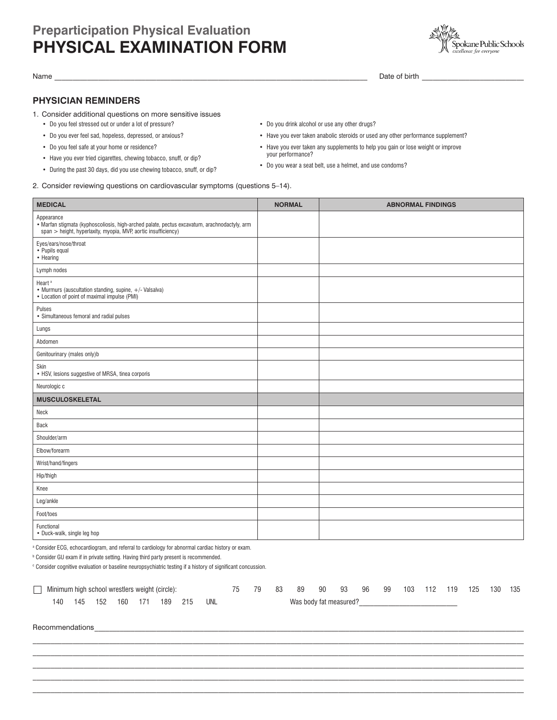# **Preparticipation Physical Evaluation PHYSICAL EXAMINATION FORM**



### **PHYSICIAN REMINDERS**

- 1. Consider additional questions on more sensitive issues
	- Do you feel stressed out or under a lot of pressure?
	- Do you ever feel sad, hopeless, depressed, or anxious?
	- Do you feel safe at your home or residence?
	- Have you ever tried cigarettes, chewing tobacco, snuff, or dip?
	- During the past 30 days, did you use chewing tobacco, snuff, or dip?
- 2. Consider reviewing questions on cardiovascular symptoms (questions 5–14).
- 
- Do you drink alcohol or use any other drugs?
- Have you ever taken anabolic steroids or used any other performance supplement?
- Have you ever taken any supplements to help you gain or lose weight or improve your performance?
- Do you wear a seat belt, use a helmet, and use condoms?

| <b>MEDICAL</b>                                                                                                                                                               | <b>NORMAL</b> | <b>ABNORMAL FINDINGS</b> |
|------------------------------------------------------------------------------------------------------------------------------------------------------------------------------|---------------|--------------------------|
| Appearance<br>• Marfan stigmata (kyphoscoliosis, high-arched palate, pectus excavatum, arachnodactyly, arm<br>span > height, hyperlaxity, myopia, MVP, aortic insufficiency) |               |                          |
| Eyes/ears/nose/throat<br>• Pupils equal<br>• Hearing                                                                                                                         |               |                          |
| Lymph nodes                                                                                                                                                                  |               |                          |
| Heart <sup>a</sup><br>- Murmurs (auscultation standing, supine, $+/-$ Valsalva)<br>- Location of point of maximal impulse (PMI)                                              |               |                          |
| Pulses<br>• Simultaneous femoral and radial pulses                                                                                                                           |               |                          |
| Lungs                                                                                                                                                                        |               |                          |
| Abdomen                                                                                                                                                                      |               |                          |
| Genitourinary (males only)b                                                                                                                                                  |               |                          |
| Skin<br>• HSV, lesions suggestive of MRSA, tinea corporis                                                                                                                    |               |                          |
| Neurologic c                                                                                                                                                                 |               |                          |
| <b>MUSCULOSKELETAL</b>                                                                                                                                                       |               |                          |
| Neck                                                                                                                                                                         |               |                          |
| Back                                                                                                                                                                         |               |                          |
| Shoulder/arm                                                                                                                                                                 |               |                          |
| Elbow/forearm                                                                                                                                                                |               |                          |
| Wrist/hand/fingers                                                                                                                                                           |               |                          |
| Hip/thigh                                                                                                                                                                    |               |                          |
| Knee                                                                                                                                                                         |               |                          |
| Leg/ankle                                                                                                                                                                    |               |                          |
| Foot/toes                                                                                                                                                                    |               |                          |
| Functional<br>• Duck-walk, single leg hop                                                                                                                                    |               |                          |

a Consider ECG, echocardiogram, and referral to cardiology for abnormal cardiac history or exam.

b Consider GU exam if in private setting. Having third party present is recommended.

 $\,^{\circ}$  Consider cognitive evaluation or baseline neuropsychiatric testing if a history of significant concussion.

| __ | Minimum high school wrestlers weight (circle): |     |     |     |     |     |     |     | $ -$ | 83 | 89                     | 90 | 93 | 96 | 99 | 103 | 112 | 119 | 125 | 130 | 135 |
|----|------------------------------------------------|-----|-----|-----|-----|-----|-----|-----|------|----|------------------------|----|----|----|----|-----|-----|-----|-----|-----|-----|
|    | 140                                            | 145 | 152 | 160 | 171 | 189 | 215 | unl |      |    | Was body fat measured? |    |    |    |    |     |     |     |     |     |     |

Recommendations

Name \_\_\_\_\_\_\_\_\_\_\_\_\_\_\_\_\_\_\_\_\_\_\_\_\_\_\_\_\_\_\_\_\_\_\_\_\_\_\_\_\_\_\_\_\_\_\_\_\_\_\_\_\_\_\_\_\_\_\_\_\_\_\_\_\_\_\_\_\_\_\_\_\_\_\_\_\_\_\_\_\_\_\_\_\_\_ Date of birth \_\_\_\_\_\_\_\_\_\_\_\_\_\_\_\_\_\_\_\_\_\_\_\_\_\_\_\_